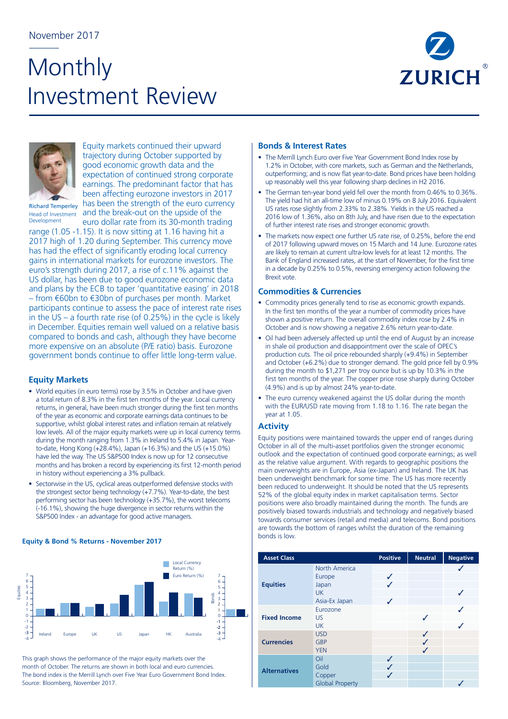# **Monthly** Investment Review





Equity markets continued their upward trajectory during October supported by good economic growth data and the expectation of continued strong corporate earnings. The predominant factor that has been affecting eurozone investors in 2017 has been the strength of the euro currency Head of Investment and the break-out on the upside of the euro dollar rate from its 30-month trading

Richard Temperley Development

range (1.05 -1.15). It is now sitting at 1.16 having hit a 2017 high of 1.20 during September. This currency move has had the effect of significantly eroding local currency gains in international markets for eurozone investors. The euro's strength during 2017, a rise of c.11% against the US dollar, has been due to good eurozone economic data and plans by the ECB to taper 'quantitative easing' in 2018 – from €60bn to €30bn of purchases per month. Market participants continue to assess the pace of interest rate rises in the US – a fourth rate rise (of 0.25%) in the cycle is likely in December. Equities remain well valued on a relative basis compared to bonds and cash, although they have become more expensive on an absolute (P/E ratio) basis. Eurozone government bonds continue to offer little long-term value.

## **Equity Markets**

- World equities (in euro terms) rose by 3.5% in October and have given a total return of 8.3% in the first ten months of the year. Local currency returns, in general, have been much stronger during the first ten months of the year as economic and corporate earnings data continues to be supportive, whilst global interest rates and inflation remain at relatively low levels. All of the major equity markets were up in local currency terms during the month ranging from 1.3% in Ireland to 5.4% in Japan. Yearto-date, Hong Kong (+28.4%), Japan (+16.3%) and the US (+15.0%) have led the way. The US S&P500 Index is now up for 12 consecutive months and has broken a record by experiencing its first 12-month period in history without experiencing a 3% pullback.
- Sectorwise in the US, cyclical areas outperformed defensive stocks with the strongest sector being technology (+7.7%). Year-to-date, the best performing sector has been technology (+35.7%), the worst telecoms (-16.1%), showing the huge divergence in sector returns within the S&P500 Index - an advantage for good active managers.

#### **Equity & Bond % Returns - November 2017**



This graph shows the performance of the major equity markets over the month of October. The returns are shown in both local and euro currencies. The bond index is the Merrill Lynch over Five Year Euro Government Bond Index. Source: Bloomberg, November 2017.

## **Bonds & Interest Rates**

- The Merrill Lynch Euro over Five Year Government Bond Index rose by 1.2% in October, with core markets, such as German and the Netherlands, outperforming; and is now flat year-to-date. Bond prices have been holding up reasonably well this year following sharp declines in H2 2016.
- The German ten-year bond yield fell over the month from 0.46% to 0.36%. The yield had hit an all-time low of minus 0.19% on 8 July 2016. Equivalent US rates rose slightly from 2.33% to 2.38%. Yields in the US reached a 2016 low of 1.36%, also on 8th July, and have risen due to the expectation of further interest rate rises and stronger economic growth.
- The markets now expect one further US rate rise, of 0.25%, before the end of 2017 following upward moves on 15 March and 14 June. Eurozone rates are likely to remain at current ultra-low levels for at least 12 months. The Bank of England increased rates, at the start of November, for the first time in a decade by 0.25% to 0.5%, reversing emergency action following the Brexit vote.

#### **Commodities & Currencies**

- Commodity prices generally tend to rise as economic growth expands. In the first ten months of the year a number of commodity prices have shown a positive return. The overall commodity index rose by 2.4% in October and is now showing a negative 2.6% return year-to-date.
- Oil had been adversely affected up until the end of August by an increase in shale oil production and disappointment over the scale of OPEC's production cuts. The oil price rebounded sharply (+9.4%) in September and October (+6.2%) due to stronger demand. The gold price fell by 0.9% during the month to \$1,271 per troy ounce but is up by 10.3% in the first ten months of the year. The copper price rose sharply during October (4.9%) and is up by almost 24% year-to-date.
- The euro currency weakened against the US dollar during the month with the EUR/USD rate moving from 1.18 to 1.16. The rate began the year at 1.05.

## **Activity**

Equity positions were maintained towards the upper end of ranges during October in all of the multi-asset portfolios given the stronger economic outlook and the expectation of continued good corporate earnings; as well as the relative value argument. With regards to geographic positions the main overweights are in Europe, Asia (ex-Japan) and Ireland. The UK has been underweight benchmark for some time. The US has more recently been reduced to underweight. It should be noted that the US represents 52% of the global equity index in market capitalisation terms. Sector positions were also broadly maintained during the month. The funds are positively biased towards industrials and technology and negatively biased towards consumer services (retail and media) and telecoms. Bond positions are towards the bottom of ranges whilst the duration of the remaining bonds is low.

| <b>Asset Class</b>  | <b>Positive</b>                                                | <b>Neutral</b>    | <b>Negative</b> |  |
|---------------------|----------------------------------------------------------------|-------------------|-----------------|--|
| <b>Equities</b>     | North America<br>Europe<br>Japan<br><b>UK</b><br>Asia-Ex Japan | ✓<br>J<br>ℐ       |                 |  |
| <b>Fixed Income</b> | Eurozone<br>US<br><b>UK</b>                                    |                   | J               |  |
| <b>Currencies</b>   | <b>USD</b><br>GBP<br><b>YEN</b>                                |                   | J<br>J<br>J     |  |
| <b>Alternatives</b> | Oil<br>Gold<br>Copper<br><b>Global Property</b>                | $\checkmark$<br>✓ |                 |  |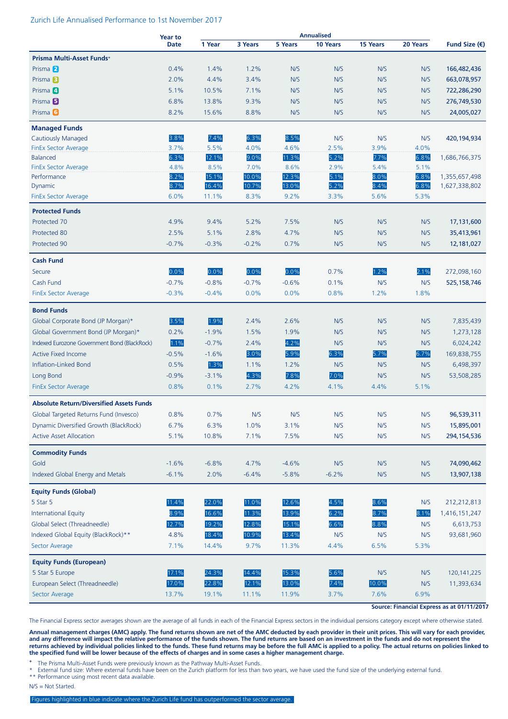#### Zurich Life Annualised Performance to 1st November 2017

|                                                 | <b>Year to</b> |         |         |         | <b>Annualised</b> |          |          | Fund Size $(\epsilon)$ |
|-------------------------------------------------|----------------|---------|---------|---------|-------------------|----------|----------|------------------------|
|                                                 | <b>Date</b>    | 1 Year  | 3 Years | 5 Years | 10 Years          | 15 Years | 20 Years |                        |
| Prisma Multi-Asset Funds+                       |                |         |         |         |                   |          |          |                        |
| Prisma <sup>2</sup>                             | 0.4%           | 1.4%    | 1.2%    | N/S     | N/S               | N/S      | N/S      | 166,482,436            |
| Prisma <sup>3</sup>                             | 2.0%           | 4.4%    | 3.4%    | N/S     | N/S               | N/S      | N/S      | 663,078,957            |
| Prisma 4                                        | 5.1%           | 10.5%   | 7.1%    | N/S     | N/S               | N/S      | N/S      | 722,286,290            |
| Prisma <sup>5</sup>                             | 6.8%           | 13.8%   | 9.3%    | N/S     | N/S               | N/S      | N/S      | 276,749,530            |
| Prisma <b>6</b>                                 | 8.2%           | 15.6%   | 8.8%    | N/S     | N/S               | N/S      | N/S      | 24,005,027             |
| <b>Managed Funds</b>                            |                |         |         |         |                   |          |          |                        |
| <b>Cautiously Managed</b>                       | 3.8%           | 7.4%    | 6.3%    | 8.5%    | N/S               | N/S      | N/S      | 420,194,934            |
| <b>FinEx Sector Average</b>                     | 3.7%           | 5.5%    | 4.0%    | 4.6%    | 2.5%              | 3.9%     | 4.0%     |                        |
| <b>Balanced</b>                                 | 6.3%           | 12.1%   | 9.0%    | 11.3%   | 5.2%              | 7.7%     | 6.8%     | 1,686,766,375          |
| <b>FinEx Sector Average</b>                     | 4.8%           | 8.5%    | 7.0%    | 8.6%    | 2.9%              | 5.4%     | 5.1%     |                        |
| Performance                                     | 8.2%           | 15.1%   | 10.0%   | 12.3%   | 5.1%              | 8.0%     | 6.8%     | 1,355,657,498          |
| Dynamic                                         | 8.7%           | 16.4%   | 10.7%   | 13.0%   | 5.2%              | 8.4%     | 6.8%     | 1,627,338,802          |
| <b>FinEx Sector Average</b>                     | 6.0%           | 11.1%   | 8.3%    | 9.2%    | 3.3%              | 5.6%     | 5.3%     |                        |
| <b>Protected Funds</b>                          |                |         |         |         |                   |          |          |                        |
| Protected 70                                    | 4.9%           | 9.4%    | 5.2%    | 7.5%    | N/S               | N/S      | N/S      | 17,131,600             |
| Protected 80                                    | 2.5%           | 5.1%    | 2.8%    | 4.7%    | N/S               | N/S      | N/S      | 35,413,961             |
| Protected 90                                    | $-0.7%$        | $-0.3%$ | $-0.2%$ | 0.7%    | N/S               | N/S      | N/S      | 12,181,027             |
| <b>Cash Fund</b>                                |                |         |         |         |                   |          |          |                        |
| Secure                                          | 0.0%           | 0.0%    | 0.0%    | 0.0%    | 0.7%              | 1.2%     | 2.1%     | 272,098,160            |
| Cash Fund                                       | $-0.7%$        | $-0.8%$ | $-0.7%$ | $-0.6%$ | 0.1%              | N/S      | N/S      | 525, 158, 746          |
| FinEx Sector Average                            | $-0.3%$        | $-0.4%$ | 0.0%    | 0.0%    | 0.8%              | 1.2%     | 1.8%     |                        |
| <b>Bond Funds</b>                               |                |         |         |         |                   |          |          |                        |
| Global Corporate Bond (JP Morgan)*              | 3.5%           | 1.9%    | 2.4%    | 2.6%    | N/S               | N/S      | N/S      | 7,835,439              |
| Global Government Bond (JP Morgan)*             | 0.2%           | $-1.9%$ | 1.5%    | 1.9%    | N/S               | N/S      | N/S      | 1,273,128              |
| Indexed Eurozone Government Bond (BlackRock)    | 1.1%           | $-0.7%$ | 2.4%    | 4.2%    | N/S               | N/S      | N/S      | 6,024,242              |
| <b>Active Fixed Income</b>                      | $-0.5%$        | $-1.6%$ | 3.0%    | 5.9%    | 6.3%              | 5.7%     | 6.7%     | 169,838,755            |
| Inflation-Linked Bond                           | 0.5%           | 1.3%    | 1.1%    | 1.2%    | N/S               | N/S      | N/S      | 6,498,397              |
|                                                 |                |         |         |         |                   |          |          |                        |
| Long Bond                                       | $-0.9%$        | $-3.1%$ | 4.3%    | 7.8%    | 7.0%              | N/S      | N/S      | 53,508,285             |
| <b>FinEx Sector Average</b>                     | 0.8%           | 0.1%    | 2.7%    | 4.2%    | 4.1%              | 4.4%     | 5.1%     |                        |
| <b>Absolute Return/Diversified Assets Funds</b> |                |         |         |         |                   |          |          |                        |
| Global Targeted Returns Fund (Invesco)          | 0.8%           | 0.7%    | N/S     | N/S     | N/S               | N/S      | N/S      | 96,539,311             |
| Dynamic Diversified Growth (BlackRock)          | 6.7%           | 6.3%    | 1.0%    | 3.1%    | N/S               | N/S      | N/S      | 15,895,001             |
| <b>Active Asset Allocation</b>                  | 5.1%           | 10.8%   | 7.1%    | 7.5%    | N/S               | N/S      | N/S      | 294,154,536            |
| <b>Commodity Funds</b>                          |                |         |         |         |                   |          |          |                        |
| Gold                                            | $-1.6%$        | $-6.8%$ | 4.7%    | $-4.6%$ | N/S               | N/S      | N/S      | 74,090,462             |
| Indexed Global Energy and Metals                | $-6.1%$        | 2.0%    | $-6.4%$ | $-5.8%$ | $-6.2%$           | N/S      | N/S      | 13,907,138             |
| <b>Equity Funds (Global)</b>                    |                |         |         |         |                   |          |          |                        |
| 5 Star 5                                        | 11.4%          | 22.0%   | 11.0%   | 12.6%   | 4.5%              | 8.6%     | N/S      | 212,212,813            |
| <b>International Equity</b>                     | 8.9%           | 16.6%   | 11.3%   | 13.9%   | 6.2%              | 8.7%     | 8.1%     | 1,416,151,247          |
| Global Select (Threadneedle)                    | 12.7%          | 19.2%   | 12.8%   | 15.1%   | 6.6%              | 8.8%     | N/S      | 6,613,753              |
| Indexed Global Equity (BlackRock)**             | 4.8%           | 18.4%   | 10.9%   | 13.4%   | N/S               | N/S      | N/S      | 93,681,960             |
| Sector Average                                  | 7.1%           | 14.4%   | 9.7%    | 11.3%   | 4.4%              | 6.5%     | 5.3%     |                        |
| <b>Equity Funds (European)</b>                  |                |         |         |         |                   |          |          |                        |
| 5 Star 5 Europe                                 | 17.1%          | 24.3%   | 14.4%   | 15.3%   | 5.6%              | N/S      | N/S      | 120, 141, 225          |
| European Select (Threadneedle)                  | 17.0%          | 22.8%   | 12.1%   | 13.0%   | 7.4%              | 10.0%    | N/S      | 11,393,634             |
| Sector Average                                  | 13.7%          | 19.1%   | 11.1%   | 11.9%   | 3.7%              | 7.6%     | 6.9%     |                        |
|                                                 |                |         |         |         |                   |          |          |                        |

**Source: Financial Express as at 01/11/2017**

The Financial Express sector averages shown are the average of all funds in each of the Financial Express sectors in the individual pensions category except where otherwise stated.

**Annual management charges (AMC) apply. The fund returns shown are net of the AMC deducted by each provider in their unit prices. This will vary for each provider, and any difference will impact the relative performance of the funds shown. The fund returns are based on an investment in the funds and do not represent the returns achieved by individual policies linked to the funds. These fund returns may be before the full AMC is applied to a policy. The actual returns on policies linked to the specified fund will be lower because of the effects of charges and in some cases a higher management charge.**

**<sup>+</sup>** The Prisma Multi-Asset Funds were previously known as the Pathway Multi-Asset Funds.

External fund size: Where external funds have been on the Zurich platform for less than two years, we have used the fund size of the underlying external fund.

\*\* Performance using most recent data available.

N/S = Not Started.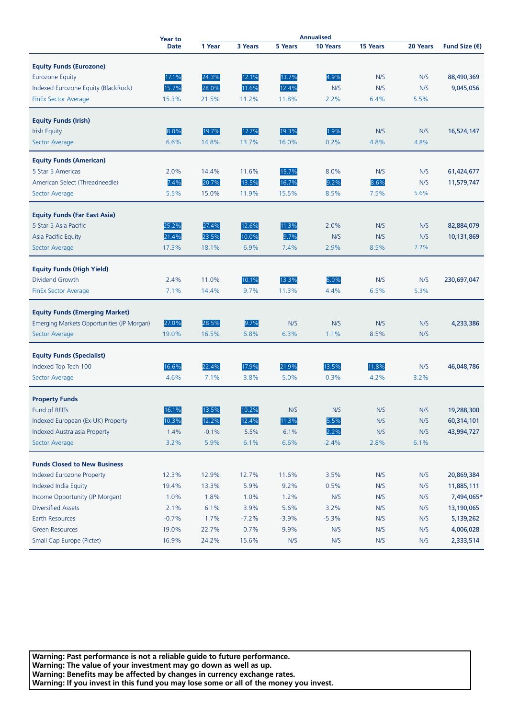|                                            | <b>Annualised</b><br><b>Year to</b> |         |         |         |          |                 |          |                        |
|--------------------------------------------|-------------------------------------|---------|---------|---------|----------|-----------------|----------|------------------------|
|                                            | <b>Date</b>                         | 1 Year  | 3 Years | 5 Years | 10 Years | <b>15 Years</b> | 20 Years | Fund Size $(\epsilon)$ |
| <b>Equity Funds (Eurozone)</b>             |                                     |         |         |         |          |                 |          |                        |
|                                            |                                     | 24.3%   | 12.1%   | 13.7%   | 4.9%     | N/S             | N/S      | 88,490,369             |
| <b>Eurozone Equity</b>                     | 17.1%<br>15.7%                      | 28.0%   |         | 12.4%   |          |                 |          | 9,045,056              |
| Indexed Eurozone Equity (BlackRock)        |                                     |         | 11.6%   |         | N/S      | N/S             | N/S      |                        |
| <b>FinEx Sector Average</b>                | 15.3%                               | 21.5%   | 11.2%   | 11.8%   | 2.2%     | 6.4%            | 5.5%     |                        |
| <b>Equity Funds (Irish)</b>                |                                     |         |         |         |          |                 |          |                        |
| <b>Irish Equity</b>                        | 8.0%                                | 19.7%   | 17.7%   | 19.3%   | 1.9%     | N/S             | N/S      | 16,524,147             |
| Sector Average                             | 6.6%                                | 14.8%   | 13.7%   | 16.0%   | 0.2%     | 4.8%            | 4.8%     |                        |
|                                            |                                     |         |         |         |          |                 |          |                        |
| <b>Equity Funds (American)</b>             |                                     |         |         |         |          |                 |          |                        |
| 5 Star 5 Americas                          | 2.0%                                | 14.4%   | 11.6%   | 15.7%   | 8.0%     | N/S             | N/S      | 61,424,677             |
| American Select (Threadneedle)             | 7.4%                                | 20.7%   | 13.5%   | 16.7%   | 9.2%     | 8.6%            | N/S      | 11,579,747             |
| Sector Average                             | 5.5%                                | 15.0%   | 11.9%   | 15.5%   | 8.5%     | 7.5%            | 5.6%     |                        |
|                                            |                                     |         |         |         |          |                 |          |                        |
| <b>Equity Funds (Far East Asia)</b>        |                                     |         |         |         |          |                 |          |                        |
| 5 Star 5 Asia Pacific                      | 25.2%                               | 27.4%   | 12.6%   | 11.3%   | 2.0%     | N/S             | N/S      | 82,884,079             |
| Asia Pacific Equity                        | 21.4%                               | 23.5%   | 10.0%   | 9.7%    | N/S      | N/S             | N/S      | 10,131,869             |
| Sector Average                             | 17.3%                               | 18.1%   | 6.9%    | 7.4%    | 2.9%     | 8.5%            | 7.2%     |                        |
|                                            |                                     |         |         |         |          |                 |          |                        |
| <b>Equity Funds (High Yield)</b>           |                                     |         |         |         |          |                 |          |                        |
| Dividend Growth                            | 2.4%                                | 11.0%   | 10.1%   | 13.3%   | 6.0%     | N/S             | N/S      | 230,697,047            |
| <b>FinEx Sector Average</b>                | 7.1%                                | 14.4%   | 9.7%    | 11.3%   | 4.4%     | 6.5%            | 5.3%     |                        |
| <b>Equity Funds (Emerging Market)</b>      |                                     |         |         |         |          |                 |          |                        |
|                                            |                                     |         |         |         |          |                 |          |                        |
| Emerging Markets Opportunities (JP Morgan) | 27.0%                               | 28.5%   | 9.7%    | N/S     | N/S      | N/S             | N/S      | 4,233,386              |
| Sector Average                             | 19.0%                               | 16.5%   | 6.8%    | 6.3%    | 1.1%     | 8.5%            | N/S      |                        |
| <b>Equity Funds (Specialist)</b>           |                                     |         |         |         |          |                 |          |                        |
| Indexed Top Tech 100                       | 16.6%                               | 22.4%   | 17.9%   | 21.9%   | 13.5%    | 11.8%           | N/S      | 46,048,786             |
| Sector Average                             | 4.6%                                | 7.1%    | 3.8%    | 5.0%    | 0.3%     | 4.2%            | 3.2%     |                        |
|                                            |                                     |         |         |         |          |                 |          |                        |
| <b>Property Funds</b>                      |                                     |         |         |         |          |                 |          |                        |
| <b>Fund of REITs</b>                       | 16.1%                               | 13.5%   | 10.2%   | N/S     | N/S      | N/S             | N/S      | 19,288,300             |
| Indexed European (Ex-UK) Property          | 10.3%                               | 12.2%   | 12.4%   | 11.3%   | 5.5%     | N/S             | N/S      | 60,314,101             |
| Indexed Australasia Property               | 1.4%                                | $-0.1%$ | 5.5%    | 6.1%    | 2.2%     | N/S             | N/S      | 43,994,727             |
| Sector Average                             | 3.2%                                | 5.9%    | 6.1%    | 6.6%    | $-2.4%$  | 2.8%            | 6.1%     |                        |
|                                            |                                     |         |         |         |          |                 |          |                        |
| <b>Funds Closed to New Business</b>        |                                     |         |         |         |          |                 |          |                        |
| <b>Indexed Eurozone Property</b>           | 12.3%                               | 12.9%   | 12.7%   | 11.6%   | 3.5%     | N/S             | N/S      | 20,869,384             |
| Indexed India Equity                       | 19.4%                               | 13.3%   | 5.9%    | 9.2%    | 0.5%     | N/S             | N/S      | 11,885,111             |
| Income Opportunity (JP Morgan)             | 1.0%                                | 1.8%    | 1.0%    | 1.2%    | N/S      | N/S             | N/S      | 7,494,065*             |
| <b>Diversified Assets</b>                  | 2.1%                                | 6.1%    | 3.9%    | 5.6%    | 3.2%     | N/S             | N/S      | 13,190,065             |
| Earth Resources                            | $-0.7%$                             | 1.7%    | $-7.2%$ | $-3.9%$ | $-5.3%$  | N/S             | N/S      | 5,139,262              |
| <b>Green Resources</b>                     | 19.0%                               | 22.7%   | 0.7%    | 9.9%    | N/S      | N/S             | N/S      | 4,006,028              |
| Small Cap Europe (Pictet)                  | 16.9%                               | 24.2%   | 15.6%   | N/S     | N/S      | N/S             | N/S      | 2,333,514              |
|                                            |                                     |         |         |         |          |                 |          |                        |

**Warning: Past performance is not a reliable guide to future performance. Warning: The value of your investment may go down as well as up. Warning: Benefits may be affected by changes in currency exchange rates. Warning: If you invest in this fund you may lose some or all of the money you invest.**